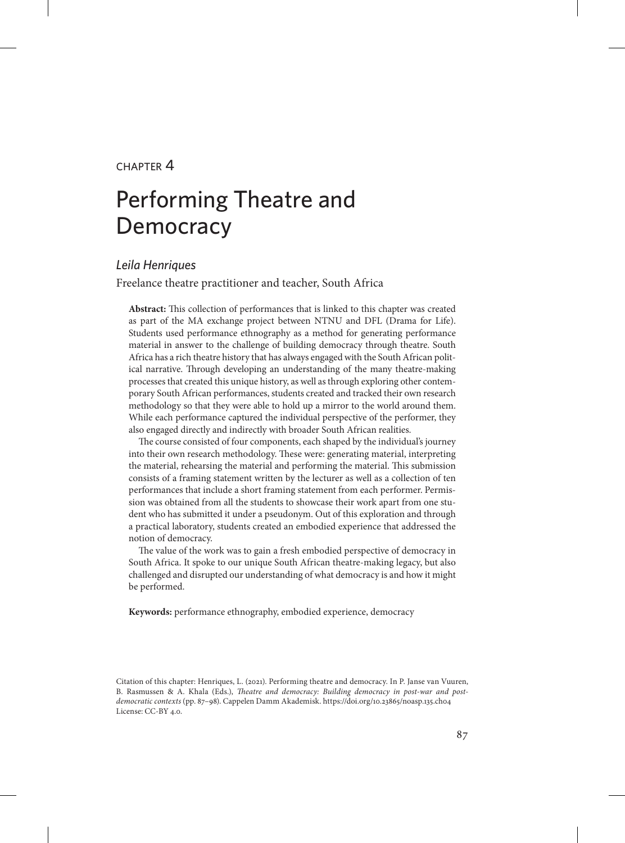#### $CHAPTER$  $4$

# Performing Theatre and **Democracy**

#### *Leila Henriques*

Freelance theatre practitioner and teacher, South Africa

**Abstract:** This collection of performances that is linked to this chapter was created as part of the MA exchange project between NTNU and DFL (Drama for Life). Students used performance ethnography as a method for generating performance material in answer to the challenge of building democracy through theatre. South Africa has a rich theatre history that has always engaged with the South African political narrative. Through developing an understanding of the many theatre-making processes that created this unique history, as well as through exploring other contemporary South African performances, students created and tracked their own research methodology so that they were able to hold up a mirror to the world around them. While each performance captured the individual perspective of the performer, they also engaged directly and indirectly with broader South African realities.

The course consisted of four components, each shaped by the individual's journey into their own research methodology. These were: generating material, interpreting the material, rehearsing the material and performing the material. This submission consists of a framing statement written by the lecturer as well as a collection of ten performances that include a short framing statement from each performer. Permission was obtained from all the students to showcase their work apart from one student who has submitted it under a pseudonym. Out of this exploration and through a practical laboratory, students created an embodied experience that addressed the notion of democracy.

The value of the work was to gain a fresh embodied perspective of democracy in South Africa. It spoke to our unique South African theatre-making legacy, but also challenged and disrupted our understanding of what democracy is and how it might be performed.

**Keywords:** performance ethnography, embodied experience, democracy

Citation of this chapter: Henriques, L. (2021). Performing theatre and democracy. In P. Janse van Vuuren, B. Rasmussen & A. Khala (Eds.), *Theatre and democracy: Building democracy in post-war and postdemocratic contexts* (pp. 87–98). Cappelen Damm Akademisk. https://doi.org/10.23865/noasp.135.ch04 License: CC-BY 4.0.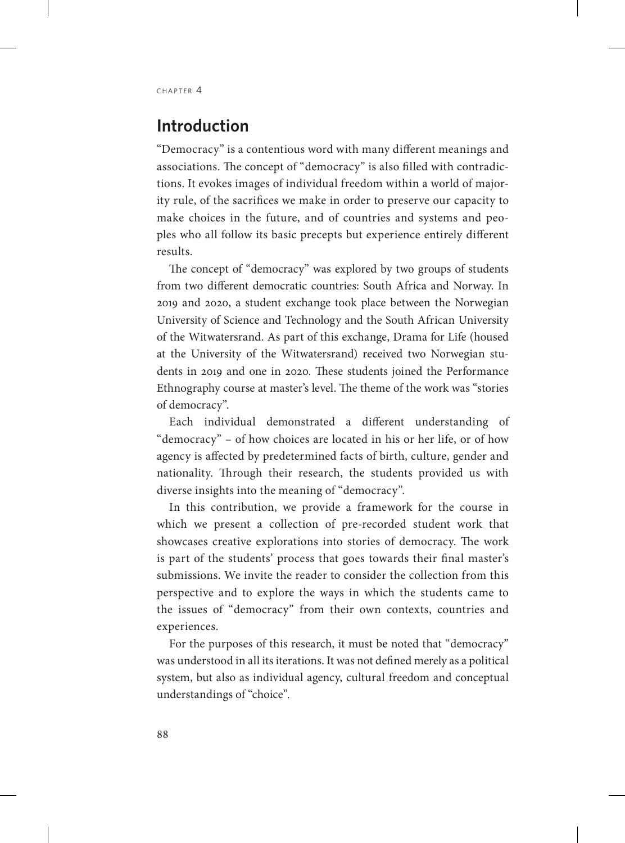# **Introduction**

"Democracy" is a contentious word with many different meanings and associations. The concept of "democracy" is also filled with contradictions. It evokes images of individual freedom within a world of majority rule, of the sacrifices we make in order to preserve our capacity to make choices in the future, and of countries and systems and peoples who all follow its basic precepts but experience entirely different results.

The concept of "democracy" was explored by two groups of students from two different democratic countries: South Africa and Norway. In 2019 and 2020, a student exchange took place between the Norwegian University of Science and Technology and the South African University of the Witwatersrand. As part of this exchange, Drama for Life (housed at the University of the Witwatersrand) received two Norwegian students in 2019 and one in 2020. These students joined the Performance Ethnography course at master's level. The theme of the work was "stories of democracy".

Each individual demonstrated a different understanding of "democracy" – of how choices are located in his or her life, or of how agency is affected by predetermined facts of birth, culture, gender and nationality. Through their research, the students provided us with diverse insights into the meaning of "democracy".

In this contribution, we provide a framework for the course in which we present a collection of pre-recorded student work that showcases creative explorations into stories of democracy. The work is part of the students' process that goes towards their final master's submissions. We invite the reader to consider the collection from this perspective and to explore the ways in which the students came to the issues of "democracy" from their own contexts, countries and experiences.

For the purposes of this research, it must be noted that "democracy" was understood in all its iterations. It was not defined merely as a political system, but also as individual agency, cultural freedom and conceptual understandings of "choice".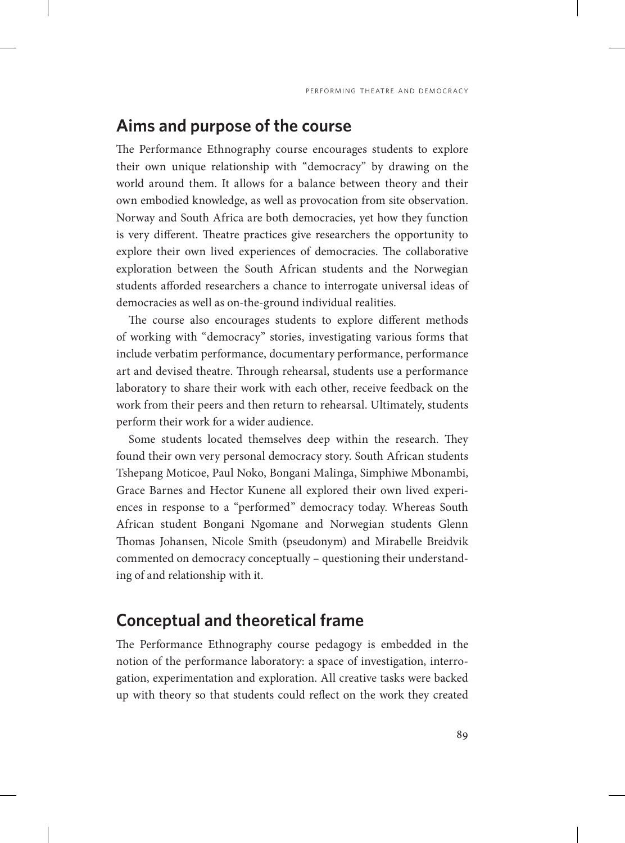### **Aims and purpose of the course**

The Performance Ethnography course encourages students to explore their own unique relationship with "democracy" by drawing on the world around them. It allows for a balance between theory and their own embodied knowledge, as well as provocation from site observation. Norway and South Africa are both democracies, yet how they function is very different. Theatre practices give researchers the opportunity to explore their own lived experiences of democracies. The collaborative exploration between the South African students and the Norwegian students afforded researchers a chance to interrogate universal ideas of democracies as well as on-the-ground individual realities.

The course also encourages students to explore different methods of working with "democracy" stories, investigating various forms that include verbatim performance, documentary performance, performance art and devised theatre. Through rehearsal, students use a performance laboratory to share their work with each other, receive feedback on the work from their peers and then return to rehearsal. Ultimately, students perform their work for a wider audience.

Some students located themselves deep within the research. They found their own very personal democracy story. South African students Tshepang Moticoe, Paul Noko, Bongani Malinga, Simphiwe Mbonambi, Grace Barnes and Hector Kunene all explored their own lived experiences in response to a "performed" democracy today. Whereas South African student Bongani Ngomane and Norwegian students Glenn Thomas Johansen, Nicole Smith (pseudonym) and Mirabelle Breidvik commented on democracy conceptually – questioning their understanding of and relationship with it.

### **Conceptual and theoretical frame**

The Performance Ethnography course pedagogy is embedded in the notion of the performance laboratory: a space of investigation, interrogation, experimentation and exploration. All creative tasks were backed up with theory so that students could reflect on the work they created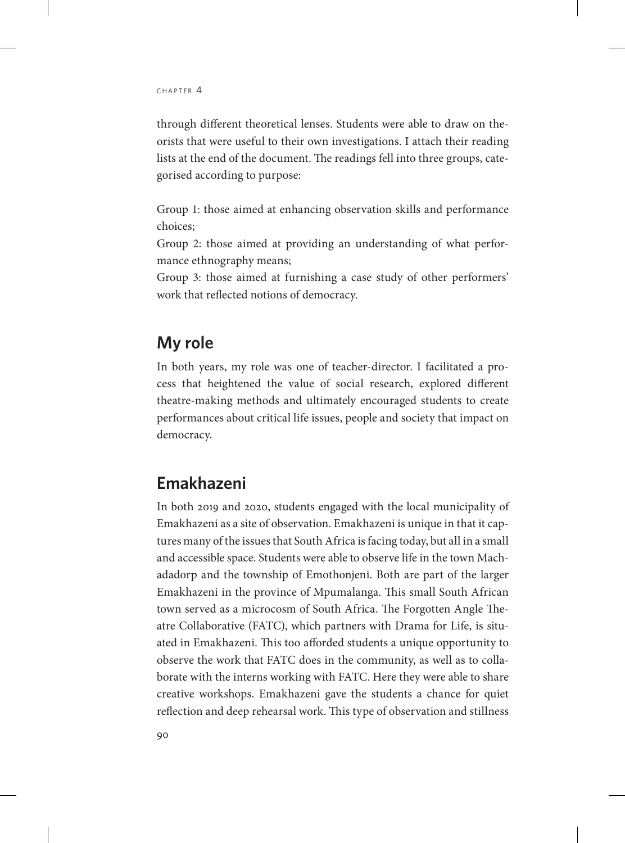through different theoretical lenses. Students were able to draw on theorists that were useful to their own investigations. I attach their reading lists at the end of the document. The readings fell into three groups, categorised according to purpose:

Group 1: those aimed at enhancing observation skills and performance choices;

Group 2: those aimed at providing an understanding of what performance ethnography means;

Group 3: those aimed at furnishing a case study of other performers' work that reflected notions of democracy.

# **My role**

In both years, my role was one of teacher-director. I facilitated a process that heightened the value of social research, explored different theatre-making methods and ultimately encouraged students to create performances about critical life issues, people and society that impact on democracy.

# **Emakhazeni**

In both 2019 and 2020, students engaged with the local municipality of Emakhazeni as a site of observation. Emakhazeni is unique in that it captures many of the issues that South Africa is facing today, but all in a small and accessible space. Students were able to observe life in the town Machadadorp and the township of Emothonjeni. Both are part of the larger Emakhazeni in the province of Mpumalanga. This small South African town served as a microcosm of South Africa. The Forgotten Angle Theatre Collaborative (FATC), which partners with Drama for Life, is situated in Emakhazeni. This too afforded students a unique opportunity to observe the work that FATC does in the community, as well as to collaborate with the interns working with FATC. Here they were able to share creative workshops. Emakhazeni gave the students a chance for quiet reflection and deep rehearsal work. This type of observation and stillness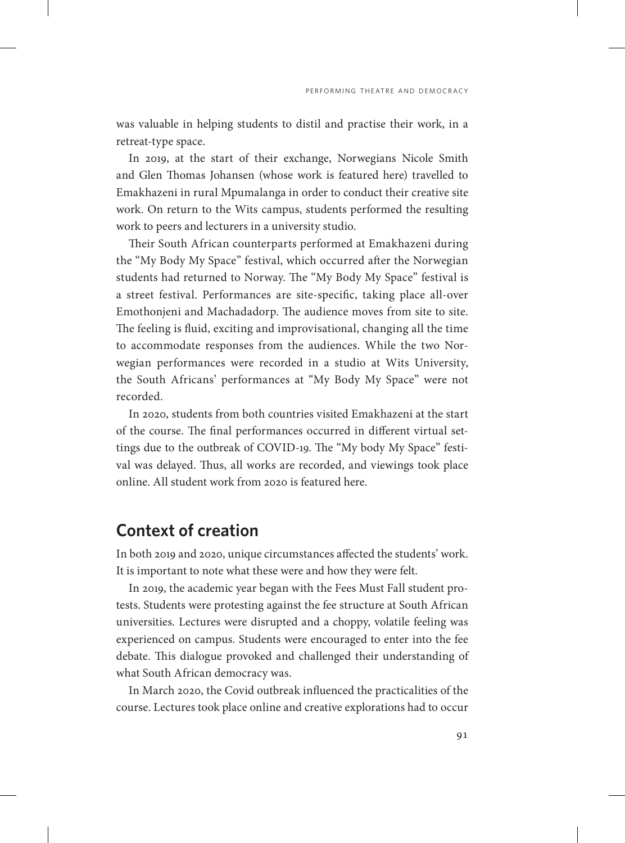was valuable in helping students to distil and practise their work, in a retreat-type space.

In 2019, at the start of their exchange, Norwegians Nicole Smith and Glen Thomas Johansen (whose work is featured here) travelled to Emakhazeni in rural Mpumalanga in order to conduct their creative site work. On return to the Wits campus, students performed the resulting work to peers and lecturers in a university studio.

Their South African counterparts performed at Emakhazeni during the "My Body My Space" festival, which occurred after the Norwegian students had returned to Norway. The "My Body My Space" festival is a street festival. Performances are site-specific, taking place all-over Emothonjeni and Machadadorp. The audience moves from site to site. The feeling is fluid, exciting and improvisational, changing all the time to accommodate responses from the audiences. While the two Norwegian performances were recorded in a studio at Wits University, the South Africans' performances at "My Body My Space" were not recorded.

In 2020, students from both countries visited Emakhazeni at the start of the course. The final performances occurred in different virtual settings due to the outbreak of COVID-19. The "My body My Space" festival was delayed. Thus, all works are recorded, and viewings took place online. All student work from 2020 is featured here.

### **Context of creation**

In both 2019 and 2020, unique circumstances affected the students' work. It is important to note what these were and how they were felt.

In 2019, the academic year began with the Fees Must Fall student protests. Students were protesting against the fee structure at South African universities. Lectures were disrupted and a choppy, volatile feeling was experienced on campus. Students were encouraged to enter into the fee debate. This dialogue provoked and challenged their understanding of what South African democracy was.

In March 2020, the Covid outbreak influenced the practicalities of the course. Lectures took place online and creative explorations had to occur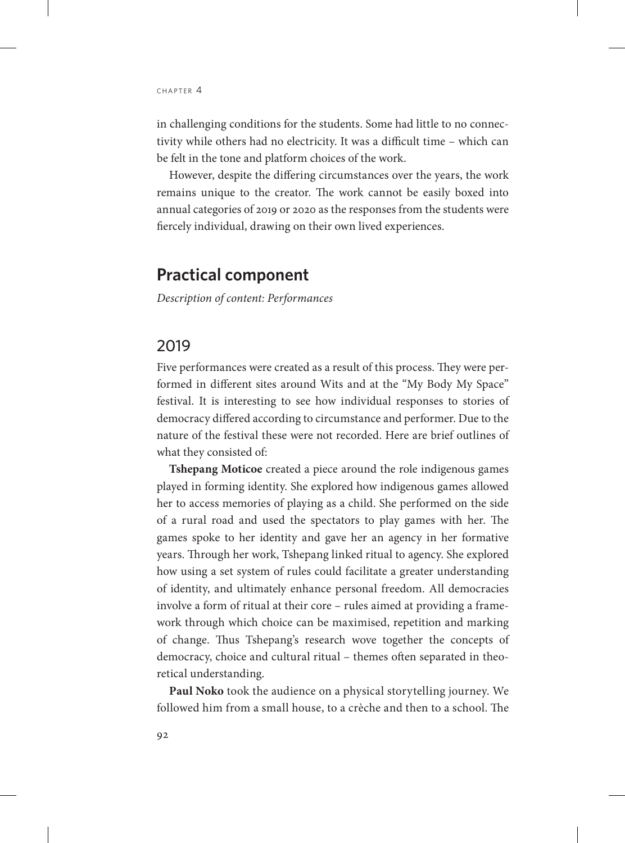in challenging conditions for the students. Some had little to no connectivity while others had no electricity. It was a difficult time – which can be felt in the tone and platform choices of the work.

However, despite the differing circumstances over the years, the work remains unique to the creator. The work cannot be easily boxed into annual categories of 2019 or 2020 as the responses from the students were fiercely individual, drawing on their own lived experiences.

#### **Practical component**

*Description of content: Performances* 

#### 2019

Five performances were created as a result of this process. They were performed in different sites around Wits and at the "My Body My Space" festival. It is interesting to see how individual responses to stories of democracy differed according to circumstance and performer. Due to the nature of the festival these were not recorded. Here are brief outlines of what they consisted of:

**Tshepang Moticoe** created a piece around the role indigenous games played in forming identity. She explored how indigenous games allowed her to access memories of playing as a child. She performed on the side of a rural road and used the spectators to play games with her. The games spoke to her identity and gave her an agency in her formative years. Through her work, Tshepang linked ritual to agency. She explored how using a set system of rules could facilitate a greater understanding of identity, and ultimately enhance personal freedom. All democracies involve a form of ritual at their core – rules aimed at providing a framework through which choice can be maximised, repetition and marking of change. Thus Tshepang's research wove together the concepts of democracy, choice and cultural ritual – themes often separated in theoretical understanding.

**Paul Noko** took the audience on a physical storytelling journey. We followed him from a small house, to a crèche and then to a school. The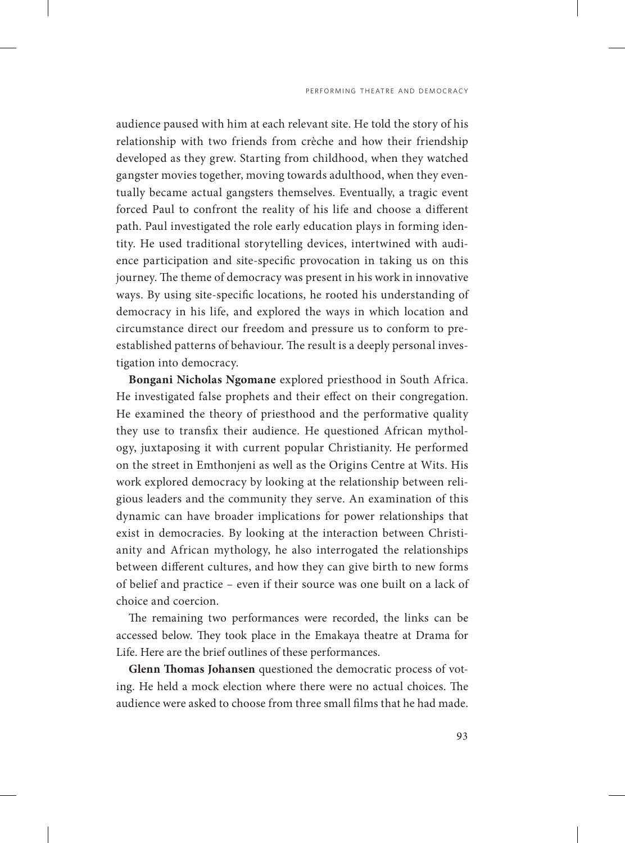audience paused with him at each relevant site. He told the story of his relationship with two friends from crèche and how their friendship developed as they grew. Starting from childhood, when they watched gangster movies together, moving towards adulthood, when they eventually became actual gangsters themselves. Eventually, a tragic event forced Paul to confront the reality of his life and choose a different path. Paul investigated the role early education plays in forming identity. He used traditional storytelling devices, intertwined with audience participation and site-specific provocation in taking us on this journey. The theme of democracy was present in his work in innovative ways. By using site-specific locations, he rooted his understanding of democracy in his life, and explored the ways in which location and circumstance direct our freedom and pressure us to conform to preestablished patterns of behaviour. The result is a deeply personal investigation into democracy.

**Bongani Nicholas Ngomane** explored priesthood in South Africa. He investigated false prophets and their effect on their congregation. He examined the theory of priesthood and the performative quality they use to transfix their audience. He questioned African mythology, juxtaposing it with current popular Christianity. He performed on the street in Emthonjeni as well as the Origins Centre at Wits. His work explored democracy by looking at the relationship between religious leaders and the community they serve. An examination of this dynamic can have broader implications for power relationships that exist in democracies. By looking at the interaction between Christianity and African mythology, he also interrogated the relationships between different cultures, and how they can give birth to new forms of belief and practice – even if their source was one built on a lack of choice and coercion.

The remaining two performances were recorded, the links can be accessed below. They took place in the Emakaya theatre at Drama for Life. Here are the brief outlines of these performances.

**Glenn Thomas Johansen** questioned the democratic process of voting. He held a mock election where there were no actual choices. The audience were asked to choose from three small films that he had made.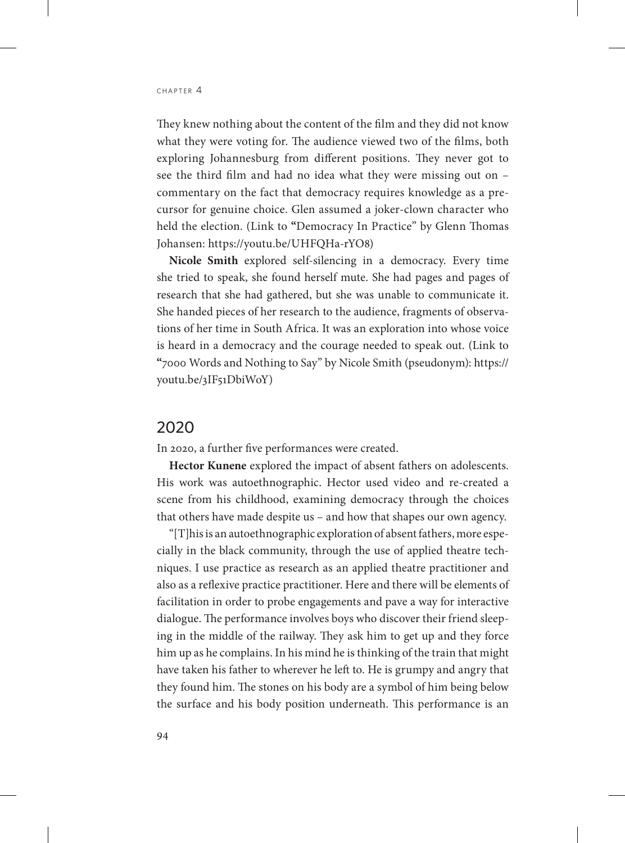They knew nothing about the content of the film and they did not know what they were voting for. The audience viewed two of the films, both exploring Johannesburg from different positions. They never got to see the third film and had no idea what they were missing out on – commentary on the fact that democracy requires knowledge as a precursor for genuine choice. Glen assumed a joker-clown character who held the election. (Link to **"**Democracy In Practice" by Glenn Thomas Johansen: https://youtu.be/UHFQHa-rYO8)

**Nicole Smith** explored self-silencing in a democracy. Every time she tried to speak, she found herself mute. She had pages and pages of research that she had gathered, but she was unable to communicate it. She handed pieces of her research to the audience, fragments of observations of her time in South Africa. It was an exploration into whose voice is heard in a democracy and the courage needed to speak out. (Link to **"**7000 Words and Nothing to Say" by Nicole Smith (pseudonym): https:// youtu.be/3IF51DbiWoY)

#### 2020

In 2020, a further five performances were created.

**Hector Kunene** explored the impact of absent fathers on adolescents. His work was autoethnographic. Hector used video and re-created a scene from his childhood, examining democracy through the choices that others have made despite us – and how that shapes our own agency.

"[T]his is an autoethnographic exploration of absent fathers, more especially in the black community, through the use of applied theatre techniques. I use practice as research as an applied theatre practitioner and also as a reflexive practice practitioner. Here and there will be elements of facilitation in order to probe engagements and pave a way for interactive dialogue. The performance involves boys who discover their friend sleeping in the middle of the railway. They ask him to get up and they force him up as he complains. In his mind he is thinking of the train that might have taken his father to wherever he left to. He is grumpy and angry that they found him. The stones on his body are a symbol of him being below the surface and his body position underneath. This performance is an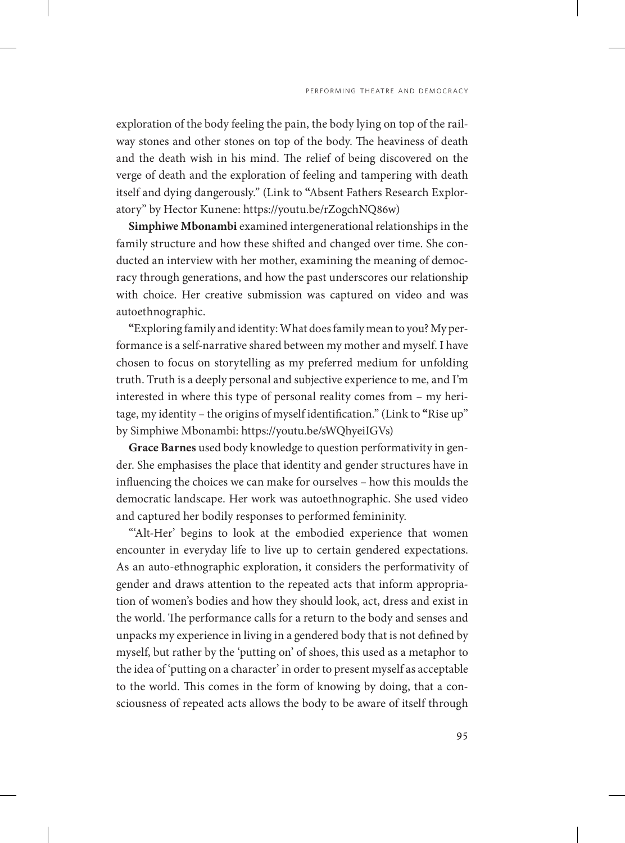exploration of the body feeling the pain, the body lying on top of the railway stones and other stones on top of the body. The heaviness of death and the death wish in his mind. The relief of being discovered on the verge of death and the exploration of feeling and tampering with death itself and dying dangerously." (Link to **"**Absent Fathers Research Exploratory" by Hector Kunene: https://youtu.be/rZogchNQ86w)

**Simphiwe Mbonambi** examined intergenerational relationships in the family structure and how these shifted and changed over time. She conducted an interview with her mother, examining the meaning of democracy through generations, and how the past underscores our relationship with choice. Her creative submission was captured on video and was autoethnographic.

**"**Exploring family and identity: What does family mean to you?My performance is a self-narrative shared between my mother and myself. I have chosen to focus on storytelling as my preferred medium for unfolding truth. Truth is a deeply personal and subjective experience to me, and I'm interested in where this type of personal reality comes from – my heritage, my identity – the origins of myself identification." (Link to **"**Rise up" by Simphiwe Mbonambi: https://youtu.be/sWQhyeiIGVs)

**Grace Barnes** used body knowledge to question performativity in gender. She emphasises the place that identity and gender structures have in influencing the choices we can make for ourselves – how this moulds the democratic landscape. Her work was autoethnographic. She used video and captured her bodily responses to performed femininity.

"Alt-Her' begins to look at the embodied experience that women encounter in everyday life to live up to certain gendered expectations. As an auto-ethnographic exploration, it considers the performativity of gender and draws attention to the repeated acts that inform appropriation of women's bodies and how they should look, act, dress and exist in the world. The performance calls for a return to the body and senses and unpacks my experience in living in a gendered body that is not defined by myself, but rather by the 'putting on' of shoes, this used as a metaphor to the idea of 'putting on a character' in order to present myself as acceptable to the world. This comes in the form of knowing by doing, that a consciousness of repeated acts allows the body to be aware of itself through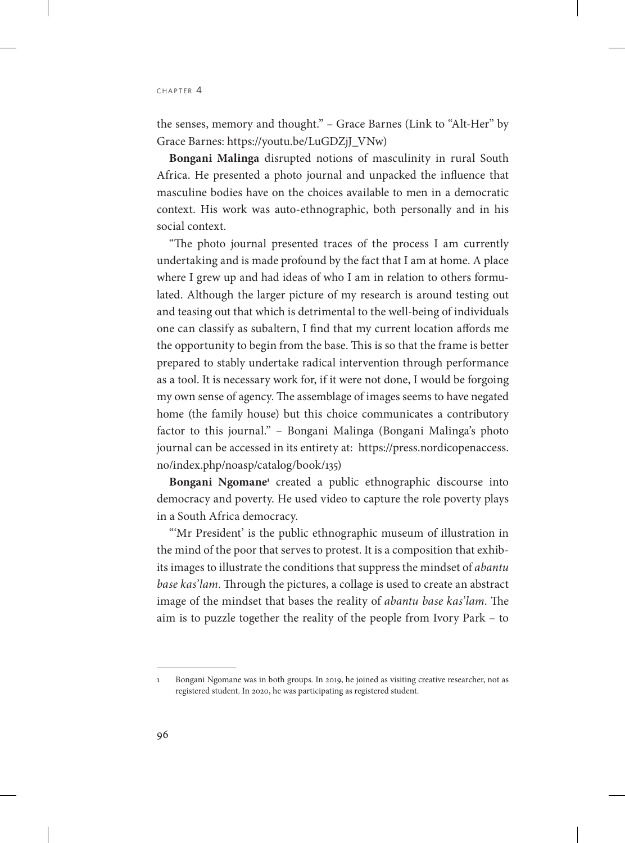the senses, memory and thought." – Grace Barnes (Link to "Alt-Her" by Grace Barnes: https://youtu.be/LuGDZjJ\_VNw)

**Bongani Malinga** disrupted notions of masculinity in rural South Africa. He presented a photo journal and unpacked the influence that masculine bodies have on the choices available to men in a democratic context. His work was auto-ethnographic, both personally and in his social context.

"The photo journal presented traces of the process I am currently undertaking and is made profound by the fact that I am at home. A place where I grew up and had ideas of who I am in relation to others formulated. Although the larger picture of my research is around testing out and teasing out that which is detrimental to the well-being of individuals one can classify as subaltern, I find that my current location affords me the opportunity to begin from the base. This is so that the frame is better prepared to stably undertake radical intervention through performance as a tool. It is necessary work for, if it were not done, I would be forgoing my own sense of agency. The assemblage of images seems to have negated home (the family house) but this choice communicates a contributory factor to this journal." – Bongani Malinga (Bongani Malinga's photo journal can be accessed in its entirety at: [https://press.nordicopenaccess.](https://press.nordicopenaccess.no/index.php/noasp/catalog/book/135) [no/index.php/noasp/catalog/book/135\)](https://press.nordicopenaccess.no/index.php/noasp/catalog/book/135)

Bongani Ngomane<sup>1</sup> created a public ethnographic discourse into democracy and poverty. He used video to capture the role poverty plays in a South Africa democracy.

"'Mr President' is the public ethnographic museum of illustration in the mind of the poor that serves to protest. It is a composition that exhibits images to illustrate the conditions that suppress the mindset of *abantu base kas'lam*. Through the pictures, a collage is used to create an abstract image of the mindset that bases the reality of *abantu base kas'lam*. The aim is to puzzle together the reality of the people from Ivory Park – to

<sup>1</sup> Bongani Ngomane was in both groups. In 2019, he joined as visiting creative researcher, not as registered student. In 2020, he was participating as registered student.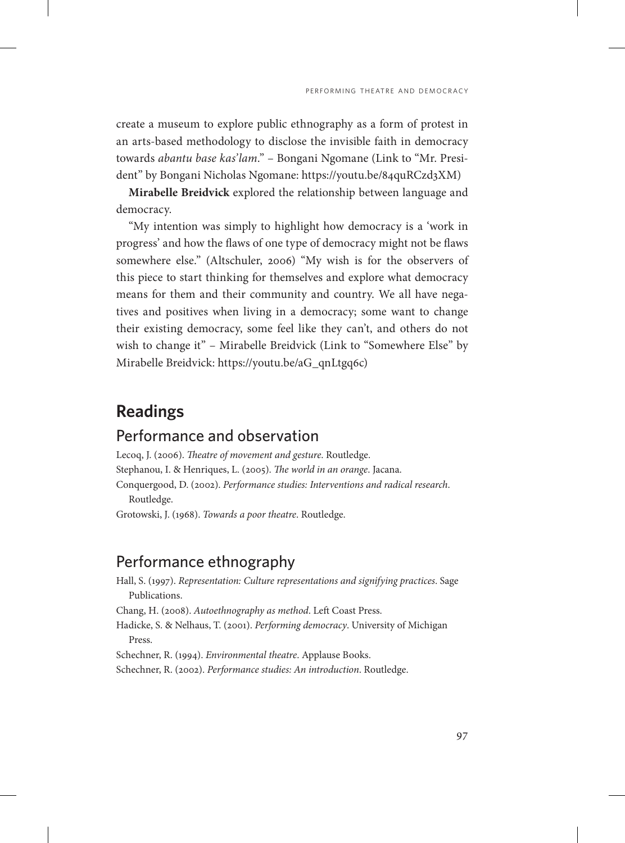create a museum to explore public ethnography as a form of protest in an arts-based methodology to disclose the invisible faith in democracy towards *abantu base kas'lam*." – Bongani Ngomane (Link to "Mr. President" by Bongani Nicholas Ngomane: https://youtu.be/84quRCzd3XM)

**Mirabelle Breidvick** explored the relationship between language and democracy.

"My intention was simply to highlight how democracy is a 'work in progress' and how the flaws of one type of democracy might not be flaws somewhere else." (Altschuler, 2006) "My wish is for the observers of this piece to start thinking for themselves and explore what democracy means for them and their community and country. We all have negatives and positives when living in a democracy; some want to change their existing democracy, some feel like they can't, and others do not wish to change it" – Mirabelle Breidvick (Link to "Somewhere Else" by Mirabelle Breidvick: https://youtu.be/aG\_qnLtgq6c)

# **Readings**

#### Performance and observation

Lecoq, J. (2006). *Theatre of movement and gesture*. Routledge. Stephanou, I. & Henriques, L. (2005). *The world in an orange*. Jacana. Conquergood, D. (2002). *Performance studies: Interventions and radical research*. Routledge.

Grotowski, J. (1968). *Towards a poor theatre*. Routledge.

#### Performance ethnography

Hall, S. (1997). *Representation: Culture representations and signifying practices*. Sage Publications.

Chang, H. (2008). *Autoethnography as method*. Left Coast Press.

Hadicke, S. & Nelhaus, T. (2001). *Performing democracy*. University of Michigan Press.

Schechner, R. (1994). *Environmental theatre*. Applause Books.

Schechner, R. (2002). *Performance studies: An introduction*. Routledge.